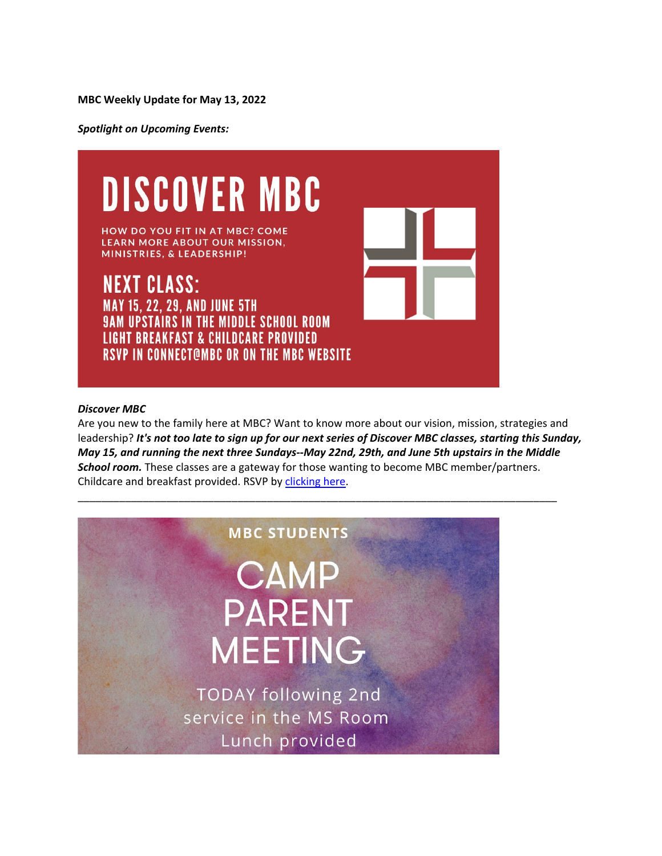*Spotlight on Upcoming Events:*



### *Discover MBC*

Are you new to the family here at MBC? Want to know more about our vision, mission, strategies and leadership? *It's not too late to sign up for our next series of Discover MBC classes, starting this Sunday, May 15, and running the next three Sundays--May 22nd, 29th, and June 5th upstairs in the Middle School room.* These classes are a gateway for those wanting to become MBC member/partners. Childcare and breakfast provided. RSVP by [clicking here.](https://midlothianbible.ccbchurch.com/goto/forms/44/responses/new)

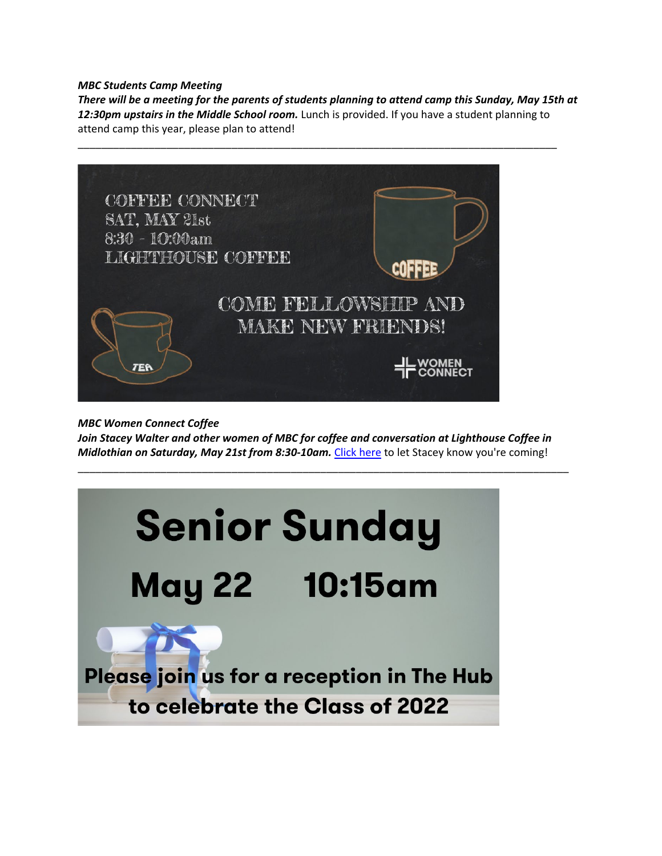# *MBC Students Camp Meeting*

*There will be a meeting for the parents of students planning to attend camp this Sunday, May 15th at 12:30pm upstairs in the Middle School room.* Lunch is provided. If you have a student planning to attend camp this year, please plan to attend!



*MBC Women Connect Coffee*

*Join Stacey Walter and other women of MBC for coffee and conversation at Lighthouse Coffee in Midlothian on Saturday, May 21st from 8:30-10am.* [Click here](mailto:walter11@gmail.com?subject=I) to let Stacey know you're coming!

\_\_\_\_\_\_\_\_\_\_\_\_\_\_\_\_\_\_\_\_\_\_\_\_\_\_\_\_\_\_\_\_\_\_\_\_\_\_\_\_\_\_\_\_\_\_\_\_\_\_\_\_\_\_\_\_\_\_\_\_\_\_\_\_\_\_\_\_\_\_\_\_\_\_\_\_\_\_\_\_\_\_\_

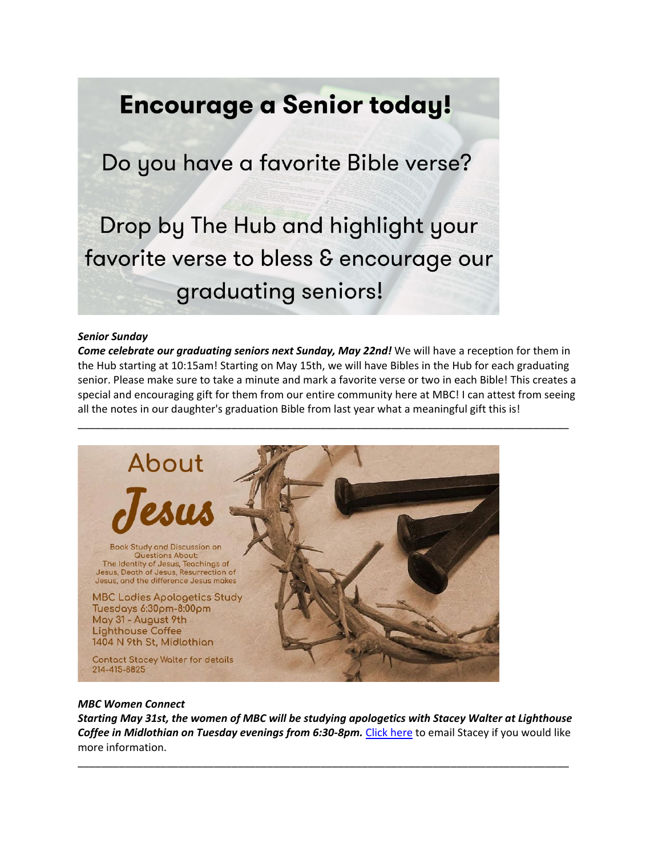# **Encourage a Senior today!**

Do you have a favorite Bible verse?

Drop by The Hub and highlight your favorite verse to bless & encourage our graduating seniors!

#### *Senior Sunday*

*Come celebrate our graduating seniors next Sunday, May 22nd!* We will have a reception for them in the Hub starting at 10:15am! Starting on May 15th, we will have Bibles in the Hub for each graduating senior. Please make sure to take a minute and mark a favorite verse or two in each Bible! This creates a special and encouraging gift for them from our entire community here at MBC! I can attest from seeing all the notes in our daughter's graduation Bible from last year what a meaningful gift this is!



#### *MBC Women Connect*

*Starting May 31st, the women of MBC will be studying apologetics with Stacey Walter at Lighthouse*  Coffee in Midlothian on Tuesday evenings from 6:30-8pm. [Click here](mailto:swalter11@gmail.com?subject=I) to email Stacey if you would like more information.

\_\_\_\_\_\_\_\_\_\_\_\_\_\_\_\_\_\_\_\_\_\_\_\_\_\_\_\_\_\_\_\_\_\_\_\_\_\_\_\_\_\_\_\_\_\_\_\_\_\_\_\_\_\_\_\_\_\_\_\_\_\_\_\_\_\_\_\_\_\_\_\_\_\_\_\_\_\_\_\_\_\_\_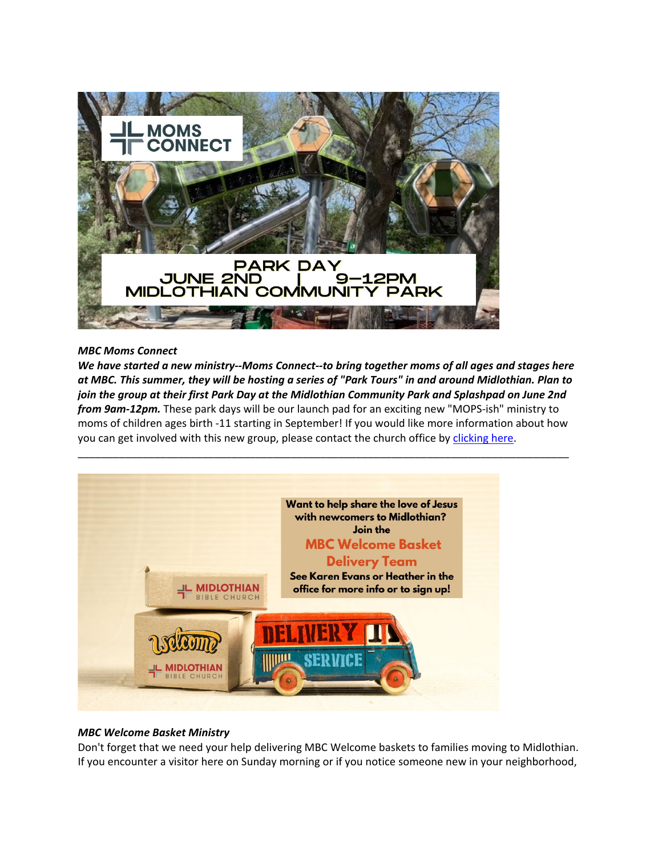

## *MBC Moms Connect*

*We have started a new ministry--Moms Connect--to bring together moms of all ages and stages here at MBC. This summer, they will be hosting a series of "Park Tours" in and around Midlothian. Plan to join the group at their first Park Day at the Midlothian Community Park and Splashpad on June 2nd from 9am-12pm.* These park days will be our launch pad for an exciting new "MOPS-ish" ministry to moms of children ages birth -11 starting in September! If you would like more information about how you can get involved with this new group, please contact the church office by [clicking here.](mailto:heather.hogue@midlothianbible.org)



# *MBC Welcome Basket Ministry*

Don't forget that we need your help delivering MBC Welcome baskets to families moving to Midlothian. If you encounter a visitor here on Sunday morning or if you notice someone new in your neighborhood,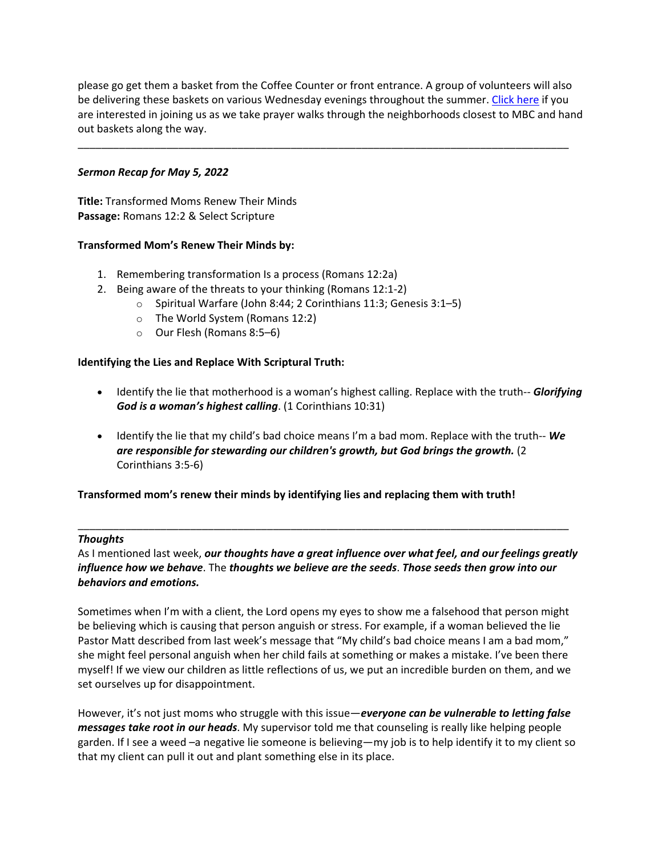please go get them a basket from the Coffee Counter or front entrance. A group of volunteers will also be delivering these baskets on various Wednesday evenings throughout the summer. [Click here](mailto:heather.hogue@midlothianbible.org?subject=I%20want%20to%20take%20part%20in%20the%20prayer%20walks%2Fwelcome%20basket%20ministry!) if you are interested in joining us as we take prayer walks through the neighborhoods closest to MBC and hand out baskets along the way.

\_\_\_\_\_\_\_\_\_\_\_\_\_\_\_\_\_\_\_\_\_\_\_\_\_\_\_\_\_\_\_\_\_\_\_\_\_\_\_\_\_\_\_\_\_\_\_\_\_\_\_\_\_\_\_\_\_\_\_\_\_\_\_\_\_\_\_\_\_\_\_\_\_\_\_\_\_\_\_\_\_\_\_

# *Sermon Recap for May 5, 2022*

**Title:** Transformed Moms Renew Their Minds **Passage:** Romans 12:2 & Select Scripture

# **Transformed Mom's Renew Their Minds by:**

- 1. Remembering transformation Is a process (Romans 12:2a)
- 2. Being aware of the threats to your thinking (Romans 12:1-2)
	- o Spiritual Warfare (John 8:44; 2 Corinthians 11:3; Genesis 3:1–5)
	- o The World System (Romans 12:2)
	- o Our Flesh (Romans 8:5–6)

## **Identifying the Lies and Replace With Scriptural Truth:**

- Identify the lie that motherhood is a woman's highest calling. Replace with the truth-- *Glorifying God is a woman's highest calling*. (1 Corinthians 10:31)
- Identify the lie that my child's bad choice means I'm a bad mom. Replace with the truth-- *We are responsible for stewarding our children's growth, but God brings the growth.* (2 Corinthians 3:5-6)

#### **Transformed mom's renew their minds by identifying lies and replacing them with truth!**

#### *Thoughts*

As I mentioned last week, *our thoughts have a great influence over what feel, and our feelings greatly influence how we behave*. The *thoughts we believe are the seeds*. *Those seeds then grow into our behaviors and emotions.*

\_\_\_\_\_\_\_\_\_\_\_\_\_\_\_\_\_\_\_\_\_\_\_\_\_\_\_\_\_\_\_\_\_\_\_\_\_\_\_\_\_\_\_\_\_\_\_\_\_\_\_\_\_\_\_\_\_\_\_\_\_\_\_\_\_\_\_\_\_\_\_\_\_\_\_\_\_\_\_\_\_\_\_

Sometimes when I'm with a client, the Lord opens my eyes to show me a falsehood that person might be believing which is causing that person anguish or stress. For example, if a woman believed the lie Pastor Matt described from last week's message that "My child's bad choice means I am a bad mom," she might feel personal anguish when her child fails at something or makes a mistake. I've been there myself! If we view our children as little reflections of us, we put an incredible burden on them, and we set ourselves up for disappointment.

However, it's not just moms who struggle with this issue—*everyone can be vulnerable to letting false messages take root in our heads*. My supervisor told me that counseling is really like helping people garden. If I see a weed –a negative lie someone is believing—my job is to help identify it to my client so that my client can pull it out and plant something else in its place.